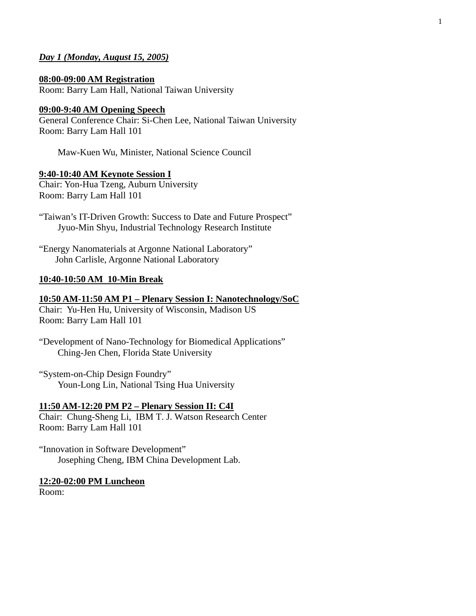# *Day 1 (Monday, August 15, 2005)*

**08:00-09:00 AM Registration** Room: Barry Lam Hall, National Taiwan University

# **09:00-9:40 AM Opening Speech**

General Conference Chair: Si-Chen Lee, National Taiwan University Room: Barry Lam Hall 101

Maw-Kuen Wu, Minister, National Science Council

# **9:40-10:40 AM Keynote Session I**

Chair: Yon-Hua Tzeng, Auburn University Room: Barry Lam Hall 101

"Taiwan's IT-Driven Growth: Success to Date and Future Prospect" Jyuo-Min Shyu, Industrial Technology Research Institute

"Energy Nanomaterials at Argonne National Laboratory" John Carlisle, Argonne National Laboratory

# **10:40-10:50 AM 10-Min Break**

## **10:50 AM-11:50 AM P1 – Plenary Session I: Nanotechnology/SoC**

Chair: Yu-Hen Hu, University of Wisconsin, Madison US Room: Barry Lam Hall 101

"System-on-Chip Design Foundry" Youn-Long Lin, National Tsing Hua University

## **11:50 AM-12:20 PM P2 – Plenary Session II: C4I**

Chair: Chung-Sheng Li, IBM T. J. Watson Research Center Room: Barry Lam Hall 101

"Innovation in Software Development" Josephing Cheng, IBM China Development Lab.

# **12:20-02:00 PM Luncheon**

Room:

<sup>&</sup>quot;Development of Nano-Technology for Biomedical Applications" Ching-Jen Chen, Florida State University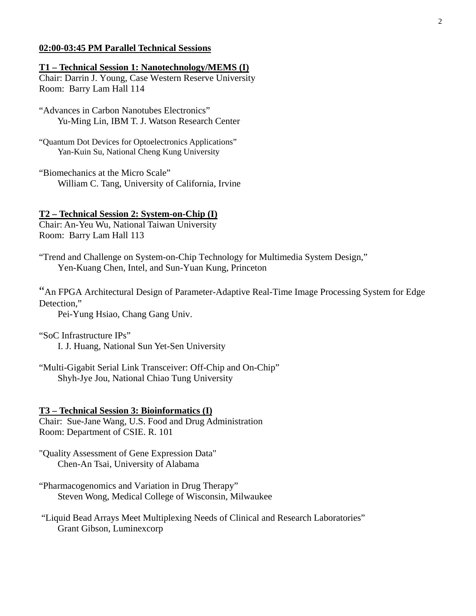# **02:00-03:45 PM Parallel Technical Sessions**

## **T1 – Technical Session 1: Nanotechnology/MEMS (I)**

Chair: Darrin J. Young, Case Western Reserve University Room: Barry Lam Hall 114

"Advances in Carbon Nanotubes Electronics" Yu-Ming Lin, IBM T. J. Watson Research Center

"Quantum Dot Devices for Optoelectronics Applications" Yan-Kuin Su, National Cheng Kung University

"Biomechanics at the Micro Scale" William C. Tang, University of California, Irvine

## **T2 – Technical Session 2: System-on-Chip (I)**

Chair: An-Yeu Wu, National Taiwan University Room: Barry Lam Hall 113

"Trend and Challenge on System-on-Chip Technology for Multimedia System Design," Yen-Kuang Chen, Intel, and Sun-Yuan Kung, Princeton

"An FPGA Architectural Design of Parameter-Adaptive Real-Time Image Processing System for Edge Detection,"

Pei-Yung Hsiao, Chang Gang Univ.

"SoC Infrastructure IPs"

I. J. Huang, National Sun Yet-Sen University

"Multi-Gigabit Serial Link Transceiver: Off-Chip and On-Chip" Shyh-Jye Jou, National Chiao Tung University

#### **T3 – Technical Session 3: Bioinformatics (I)**

Chair: Sue-Jane Wang, U.S. Food and Drug Administration Room: Department of CSIE. R. 101

"Quality Assessment of Gene Expression Data" Chen-An Tsai, University of Alabama

- "Pharmacogenomics and Variation in Drug Therapy" Steven Wong, Medical College of Wisconsin, Milwaukee
- "Liquid Bead Arrays Meet Multiplexing Needs of Clinical and Research Laboratories" Grant Gibson, Luminexcorp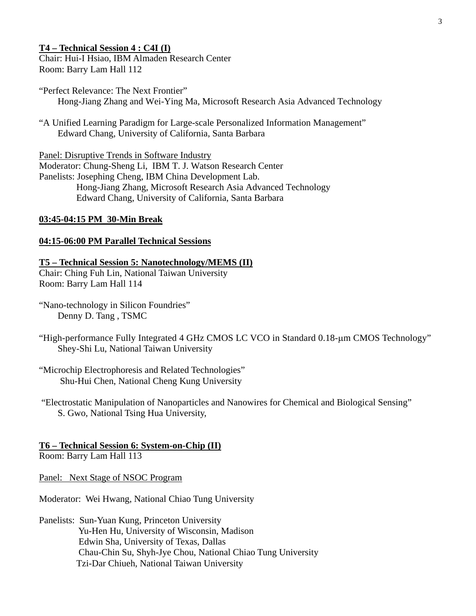## **T4 – Technical Session 4 : C4I (I)**

Chair: Hui-I Hsiao, IBM Almaden Research Center Room: Barry Lam Hall 112

- "Perfect Relevance: The Next Frontier" Hong-Jiang Zhang and Wei-Ying Ma, Microsoft Research Asia Advanced Technology
- "A Unified Learning Paradigm for Large-scale Personalized Information Management" Edward Chang, University of California, Santa Barbara

Panel: Disruptive Trends in Software Industry Moderator: Chung-Sheng Li, IBM T. J. Watson Research Center Panelists: Josephing Cheng, IBM China Development Lab. Hong-Jiang Zhang, Microsoft Research Asia Advanced Technology Edward Chang, University of California, Santa Barbara

# **03:45-04:15 PM 30-Min Break**

# **04:15-06:00 PM Parallel Technical Sessions**

**T5 – Technical Session 5: Nanotechnology/MEMS (II)** Chair: Ching Fuh Lin, National Taiwan University Room: Barry Lam Hall 114

"Nano-technology in Silicon Foundries" Denny D. Tang , TSMC

"High-performance Fully Integrated 4 GHz CMOS LC VCO in Standard 0.18-µm CMOS Technology" Shey-Shi Lu, National Taiwan University

"Microchip Electrophoresis and Related Technologies" Shu-Hui Chen, National Cheng Kung University

 "Electrostatic Manipulation of Nanoparticles and Nanowires for Chemical and Biological Sensing" S. Gwo, National Tsing Hua University,

# **T6 – Technical Session 6: System-on-Chip (II)**

Room: Barry Lam Hall 113

Panel: Next Stage of NSOC Program

Moderator: Wei Hwang, National Chiao Tung University

Panelists: Sun-Yuan Kung, Princeton University Yu-Hen Hu, University of Wisconsin, Madison Edwin Sha, University of Texas, Dallas Chau-Chin Su, Shyh-Jye Chou, National Chiao Tung University Tzi-Dar Chiueh, National Taiwan University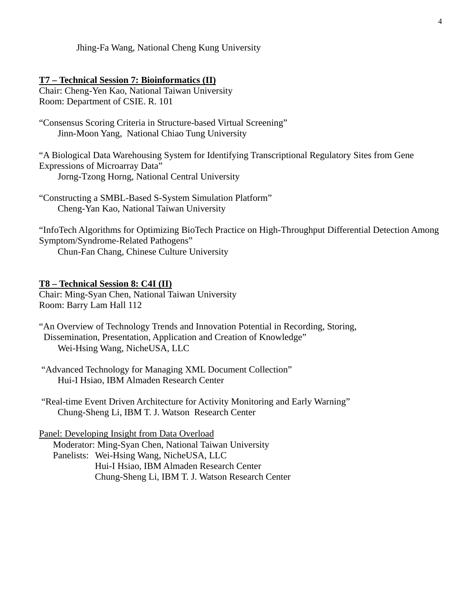Jhing-Fa Wang, National Cheng Kung University

## **T7 – Technical Session 7: Bioinformatics (II)**

Chair: Cheng-Yen Kao, National Taiwan University Room: Department of CSIE. R. 101

"Consensus Scoring Criteria in Structure-based Virtual Screening" Jinn-Moon Yang, National Chiao Tung University

"A Biological Data Warehousing System for Identifying Transcriptional Regulatory Sites from Gene Expressions of Microarray Data" Jorng-Tzong Horng, National Central University

"Constructing a SMBL-Based S-System Simulation Platform" Cheng-Yan Kao, National Taiwan University

"InfoTech Algorithms for Optimizing BioTech Practice on High-Throughput Differential Detection Among Symptom/Syndrome-Related Pathogens"

Chun-Fan Chang, Chinese Culture University

# **T8 – Technical Session 8: C4I (II)**

Chair: Ming-Syan Chen, National Taiwan University Room: Barry Lam Hall 112

"An Overview of Technology Trends and Innovation Potential in Recording, Storing, Dissemination, Presentation, Application and Creation of Knowledge" Wei-Hsing Wang, NicheUSA, LLC

 "Advanced Technology for Managing XML Document Collection" Hui-I Hsiao, IBM Almaden Research Center

 "Real-time Event Driven Architecture for Activity Monitoring and Early Warning" Chung-Sheng Li, IBM T. J. Watson Research Center

# Panel: Developing Insight from Data Overload

 Moderator: Ming-Syan Chen, National Taiwan University Panelists: Wei-Hsing Wang, NicheUSA, LLC Hui-I Hsiao, IBM Almaden Research Center Chung-Sheng Li, IBM T. J. Watson Research Center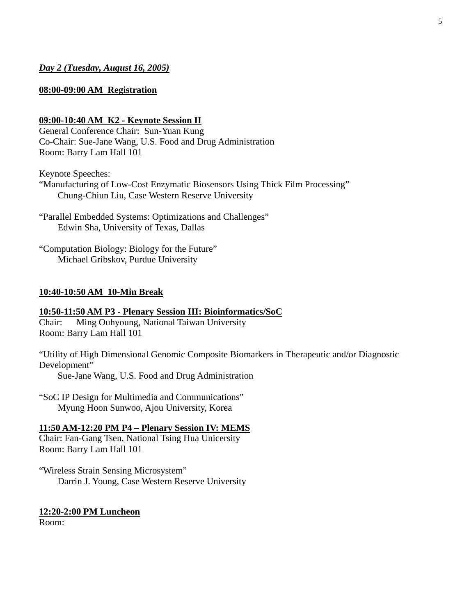# *Day 2 (Tuesday, August 16, 2005)*

# **08:00-09:00 AM Registration**

# **09:00-10:40 AM K2 - Keynote Session II**

General Conference Chair: Sun-Yuan Kung Co-Chair: Sue-Jane Wang, U.S. Food and Drug Administration Room: Barry Lam Hall 101

Keynote Speeches:

"Manufacturing of Low-Cost Enzymatic Biosensors Using Thick Film Processing" Chung-Chiun Liu, Case Western Reserve University

"Parallel Embedded Systems: Optimizations and Challenges" Edwin Sha, University of Texas, Dallas

"Computation Biology: Biology for the Future" Michael Gribskov, Purdue University

# **10:40-10:50 AM 10-Min Break**

#### **10:50-11:50 AM P3 - Plenary Session III: Bioinformatics/SoC**

Chair: Ming Ouhyoung, National Taiwan University Room: Barry Lam Hall 101

"Utility of High Dimensional Genomic Composite Biomarkers in Therapeutic and/or Diagnostic Development"

Sue-Jane Wang, U.S. Food and Drug Administration

"SoC IP Design for Multimedia and Communications" Myung Hoon Sunwoo, Ajou University, Korea

**11:50 AM-12:20 PM P4 – Plenary Session IV: MEMS** Chair: Fan-Gang Tsen, National Tsing Hua Unicersity

Room: Barry Lam Hall 101

"Wireless Strain Sensing Microsystem" Darrin J. Young, Case Western Reserve University

#### **12:20-2:00 PM Luncheon**

Room: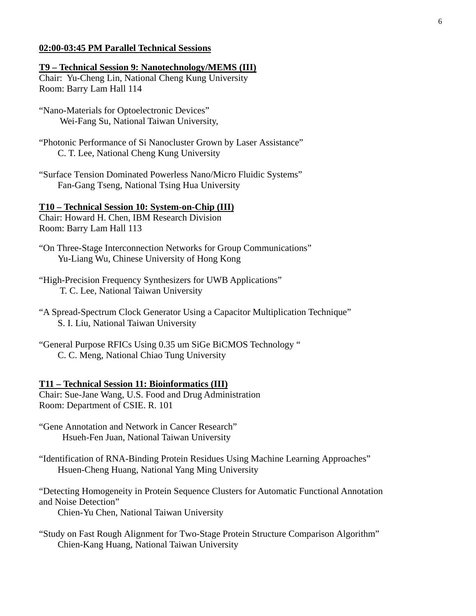## **02:00-03:45 PM Parallel Technical Sessions**

## **T9 – Technical Session 9: Nanotechnology/MEMS (III)**

Chair: Yu-Cheng Lin, National Cheng Kung University Room: Barry Lam Hall 114

"Nano-Materials for Optoelectronic Devices" Wei-Fang Su, National Taiwan University,

- "Photonic Performance of Si Nanocluster Grown by Laser Assistance" C. T. Lee, National Cheng Kung University
- "Surface Tension Dominated Powerless Nano/Micro Fluidic Systems" Fan-Gang Tseng, National Tsing Hua University

## **T10 – Technical Session 10: System-on-Chip (III)**

Chair: Howard H. Chen, IBM Research Division Room: Barry Lam Hall 113

- "On Three-Stage Interconnection Networks for Group Communications" Yu-Liang Wu, Chinese University of Hong Kong
- "High-Precision Frequency Synthesizers for UWB Applications" T. C. Lee, National Taiwan University
- "A Spread-Spectrum Clock Generator Using a Capacitor Multiplication Technique" S. I. Liu, National Taiwan University
- "General Purpose RFICs Using 0.35 um SiGe BiCMOS Technology " C. C. Meng, National Chiao Tung University

#### **T11 – Technical Session 11: Bioinformatics (III)**

Chair: Sue-Jane Wang, U.S. Food and Drug Administration Room: Department of CSIE. R. 101

"Gene Annotation and Network in Cancer Research" Hsueh-Fen Juan, National Taiwan University

"Identification of RNA-Binding Protein Residues Using Machine Learning Approaches" Hsuen-Cheng Huang, National Yang Ming University

"Detecting Homogeneity in Protein Sequence Clusters for Automatic Functional Annotation and Noise Detection"

Chien-Yu Chen, National Taiwan University

"Study on Fast Rough Alignment for Two-Stage Protein Structure Comparison Algorithm" Chien-Kang Huang, National Taiwan University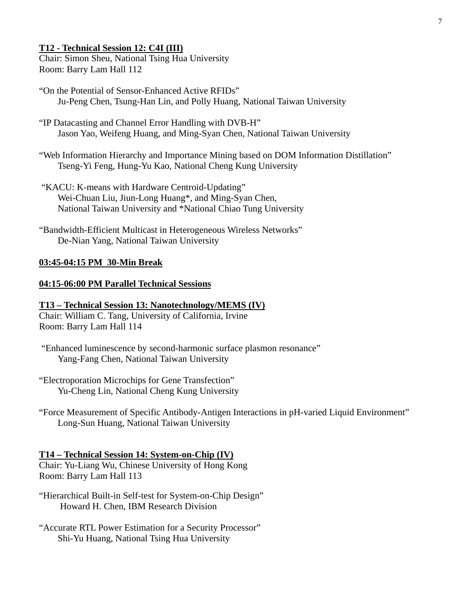# **T12 - Technical Session 12: C4I (III)**

Chair: Simon Sheu, National Tsing Hua University Room: Barry Lam Hall 112

- "On the Potential of Sensor-Enhanced Active RFIDs" Ju-Peng Chen, Tsung-Han Lin, and Polly Huang, National Taiwan University
- "IP Datacasting and Channel Error Handling with DVB-H" Jason Yao, Weifeng Huang, and Ming-Syan Chen, National Taiwan University

"Web Information Hierarchy and Importance Mining based on DOM Information Distillation" Tseng-Yi Feng, Hung-Yu Kao, National Cheng Kung University

- "KACU: K-means with Hardware Centroid-Updating" Wei-Chuan Liu, Jiun-Long Huang\*, and Ming-Syan Chen, National Taiwan University and \*National Chiao Tung University
- "Bandwidth-Efficient Multicast in Heterogeneous Wireless Networks" De-Nian Yang, National Taiwan University

# **03:45-04:15 PM 30-Min Break**

# **04:15-06:00 PM Parallel Technical Sessions**

# **T13 – Technical Session 13: Nanotechnology/MEMS (IV)**

Chair: William C. Tang, University of California, Irvine Room: Barry Lam Hall 114

 "Enhanced luminescence by second-harmonic surface plasmon resonance" Yang-Fang Chen, National Taiwan University

"Electroporation Microchips for Gene Transfection" Yu-Cheng Lin, National Cheng Kung University

"Force Measurement of Specific Antibody-Antigen Interactions in pH-varied Liquid Environment" Long-Sun Huang, National Taiwan University

# **T14 – Technical Session 14: System-on-Chip (IV)**

Chair: Yu-Liang Wu, Chinese University of Hong Kong Room: Barry Lam Hall 113

- "Hierarchical Built-in Self-test for System-on-Chip Design" Howard H. Chen, IBM Research Division
- "Accurate RTL Power Estimation for a Security Processor" Shi-Yu Huang, National Tsing Hua University